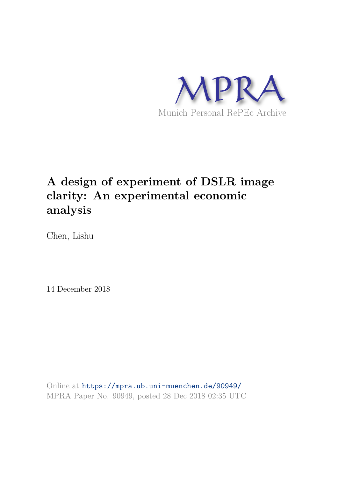

# **A design of experiment of DSLR image clarity: An experimental economic analysis**

Chen, Lishu

14 December 2018

Online at https://mpra.ub.uni-muenchen.de/90949/ MPRA Paper No. 90949, posted 28 Dec 2018 02:35 UTC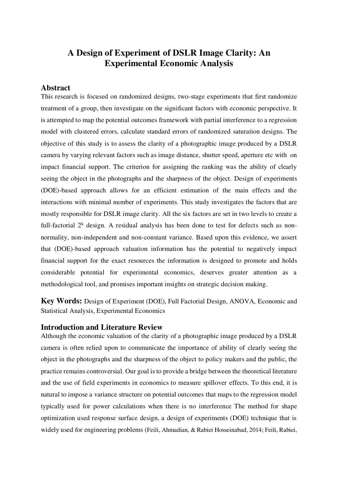# **A Design of Experiment of DSLR Image Clarity: An Experimental Economic Analysis**

#### **Abstract**

This research is focused on randomized designs, two-stage experiments that first randomize treatment of a group, then investigate on the significant factors with economic perspective. It is attempted to map the potential outcomes framework with partial interference to a regression model with clustered errors, calculate standard errors of randomized saturation designs. The objective of this study is to assess the clarity of a photographic image produced by a DSLR camera by varying relevant factors such as image distance, shutter speed, aperture etc with on impact financial support. The criterion for assigning the ranking was the ability of clearly seeing the object in the photographs and the sharpness of the object. Design of experiments (DOE)-based approach allows for an efficient estimation of the main effects and the interactions with minimal number of experiments. This study investigates the factors that are mostly responsible for DSLR image clarity. All the six factors are set in two levels to create a full-factorial  $2^k$  design. A residual analysis has been done to test for defects such as nonnormality, non-independent and non-constant variance. Based upon this evidence, we assert that (DOE)-based approach valuation information has the potential to negatively impact financial support for the exact resources the information is designed to promote and holds considerable potential for experimental economics, deserves greater attention as a methodological tool, and promises important insights on strategic decision making.

**Key Words:** Design of Experiment (DOE), Full Factorial Design, ANOVA, Economic and Statistical Analysis, Experimental Economics

#### **Introduction and Literature Review**

Although the economic valuation of the clarity of a photographic image produced by a DSLR camera is often relied upon to communicate the importance of ability of clearly seeing the object in the photographs and the sharpness of the object to policy makers and the public, the practice remains controversial. Our goal is to provide a bridge between the theoretical literature and the use of field experiments in economics to measure spillover effects. To this end, it is natural to impose a variance structure on potential outcomes that maps to the regression model typically used for power calculations when there is no interference The method for shape optimization used response surface design, a design of experiments (DOE) technique that is widely used for engineering problems (Feili, Ahmadian, & Rabiei Hosseinabad, 2014; Feili, Rabiei,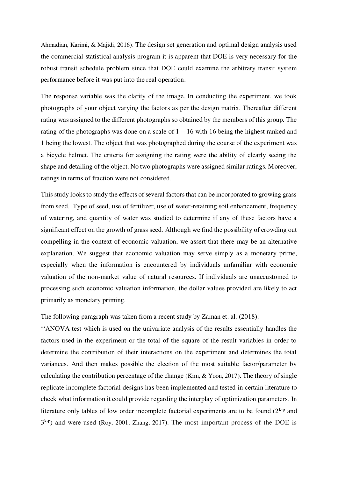Ahmadian, Karimi, & Majidi, 2016). The design set generation and optimal design analysis used the commercial statistical analysis program it is apparent that DOE is very necessary for the robust transit schedule problem since that DOE could examine the arbitrary transit system performance before it was put into the real operation.

The response variable was the clarity of the image. In conducting the experiment, we took photographs of your object varying the factors as per the design matrix. Thereafter different rating was assigned to the different photographs so obtained by the members of this group. The rating of the photographs was done on a scale of  $1 - 16$  with 16 being the highest ranked and 1 being the lowest. The object that was photographed during the course of the experiment was a bicycle helmet. The criteria for assigning the rating were the ability of clearly seeing the shape and detailing of the object. No two photographs were assigned similar ratings. Moreover, ratings in terms of fraction were not considered.

This study looks to study the effects of several factors that can be incorporated to growing grass from seed. Type of seed, use of fertilizer, use of water-retaining soil enhancement, frequency of watering, and quantity of water was studied to determine if any of these factors have a significant effect on the growth of grass seed. Although we find the possibility of crowding out compelling in the context of economic valuation, we assert that there may be an alternative explanation. We suggest that economic valuation may serve simply as a monetary prime, especially when the information is encountered by individuals unfamiliar with economic valuation of the non-market value of natural resources. If individuals are unaccustomed to processing such economic valuation information, the dollar values provided are likely to act primarily as monetary priming.

The following paragraph was taken from a recent study by Zaman et. al. (2018):

''ANOVA test which is used on the univariate analysis of the results essentially handles the factors used in the experiment or the total of the square of the result variables in order to determine the contribution of their interactions on the experiment and determines the total variances. And then makes possible the election of the most suitable factor/parameter by calculating the contribution percentage of the change (Kim, & Yoon, 2017). The theory of single replicate incomplete factorial designs has been implemented and tested in certain literature to check what information it could provide regarding the interplay of optimization parameters. In literature only tables of low order incomplete factorial experiments are to be found  $(2^{k-p}$  and  $3<sup>k-p</sup>$ ) and were used (Roy, 2001; Zhang, 2017). The most important process of the DOE is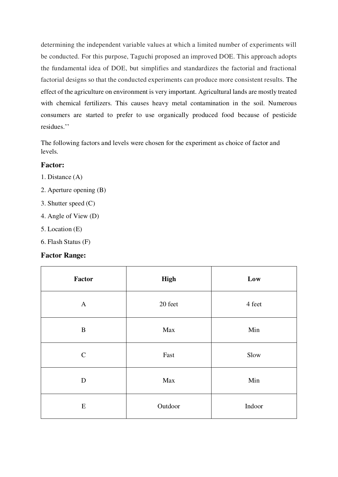determining the independent variable values at which a limited number of experiments will be conducted. For this purpose, Taguchi proposed an improved DOE. This approach adopts the fundamental idea of DOE, but simplifies and standardizes the factorial and fractional factorial designs so that the conducted experiments can produce more consistent results. The effect of the agriculture on environment is very important. Agricultural lands are mostly treated with chemical fertilizers. This causes heavy metal contamination in the soil. Numerous consumers are started to prefer to use organically produced food because of pesticide residues.''

The following factors and levels were chosen for the experiment as choice of factor and levels.

#### **Factor:**

- 1. Distance (A)
- 2. Aperture opening (B)
- 3. Shutter speed (C)
- 4. Angle of View (D)
- 5. Location (E)
- 6. Flash Status (F)

#### **Factor Range:**

| Factor       | <b>High</b> | Low    |
|--------------|-------------|--------|
| $\mathbf{A}$ | 20 feet     | 4 feet |
| $\bf{B}$     | Max         | Min    |
| $\mathbf C$  | Fast        | Slow   |
| $\mathbf D$  | Max         | Min    |
| E            | Outdoor     | Indoor |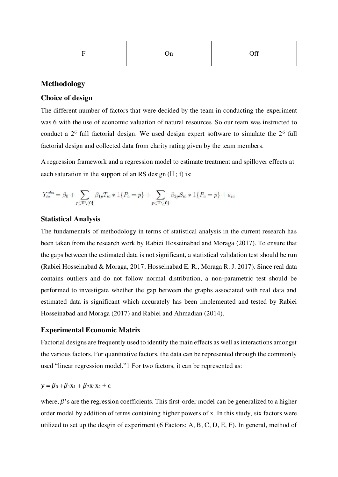| $\Gamma$<br>- | On | Off |
|---------------|----|-----|
|               |    |     |

### **Methodology**

#### **Choice of design**

The different number of factors that were decided by the team in conducting the experiment was 6 with the use of economic valuation of natural resources. So our team was instructed to conduct a  $2<sup>6</sup>$  full factorial design. We used design expert software to simulate the  $2<sup>6</sup>$  full factorial design and collected data from clarity rating given by the team members.

A regression framework and a regression model to estimate treatment and spillover effects at each saturation in the support of an RS design ( $\Pi$ ; f) is:

$$
Y_{ic}^{obs} = \beta_0 + \sum_{p \in \Pi \backslash \{0\}} \beta_{1p} T_{ic} * \mathbbm{1}\{P_c = p\} + \sum_{p \in \Pi \backslash \{0\}} \beta_{2p} S_{ic} * \mathbbm{1}\{P_c = p\} + \varepsilon_{ic}
$$

#### **Statistical Analysis**

The fundamentals of methodology in terms of statistical analysis in the current research has been taken from the research work by Rabiei Hosseinabad and Moraga (2017). To ensure that the gaps between the estimated data is not significant, a statistical validation test should be run (Rabiei Hosseinabad & Moraga, 2017; Hosseinabad E. R., Moraga R. J. 2017). Since real data contains outliers and do not follow normal distribution, a non-parametric test should be performed to investigate whether the gap between the graphs associated with real data and estimated data is significant which accurately has been implemented and tested by Rabiei Hosseinabad and Moraga (2017) and Rabiei and Ahmadian (2014).

#### **Experimental Economic Matrix**

Factorial designs are frequently used to identify the main effects as well as interactions amongst the various factors. For quantitative factors, the data can be represented through the commonly used "linear regression model."1 For two factors, it can be represented as:

# $y = \beta_0 + \beta_1x_1 + \beta_2x_1x_2 + \varepsilon$

where,  $\beta$ 's are the regression coefficients. This first-order model can be generalized to a higher order model by addition of terms containing higher powers of x. In this study, six factors were utilized to set up the desgin of experiment (6 Factors: A, B, C, D, E, F). In general, method of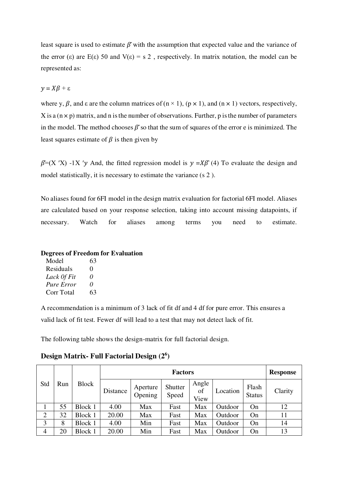least square is used to estimate  $\beta$  with the assumption that expected value and the variance of the error (ε) are E(ε) 50 and V(ε) = s 2, respectively. In matrix notation, the model can be represented as:

$$
y = X\beta + \varepsilon
$$

where y,  $\beta$ , and  $\varepsilon$  are the column matrices of (n  $\times$  1), (p  $\times$  1), and (n  $\times$  1) vectors, respectively,  $X$  is a ( $n \times p$ ) matrix, and n is the number of observations. Further, p is the number of parameters in the model. The method chooses  $\beta$  so that the sum of squares of the error e is minimized. The least squares estimate of  $\beta$  is then given by

 $\beta$ =(X 'X) -1X 'y And, the fitted regression model is  $y = X\beta$  (4) To evaluate the design and model statistically, it is necessary to estimate the variance (s 2 ).

No aliases found for 6FI model in the design matrix evaluation for factorial 6FI model. Aliases are calculated based on your response selection, taking into account missing datapoints, if necessary. Watch for aliases among terms you need to estimate.

#### **Degrees of Freedom for Evaluation**

| Model             | 63                |
|-------------------|-------------------|
| Residuals         | $\mathbf{\Omega}$ |
| Lack Of Fit       | $\theta$          |
| <b>Pure Error</b> | $\theta$          |
| Corr Total        | 63                |
|                   |                   |

A recommendation is a minimum of 3 lack of fit df and 4 df for pure error. This ensures a valid lack of fit test. Fewer df will lead to a test that may not detect lack of fit.

The following table shows the design-matrix for full factorial design.

|                |     |              |          | <b>Response</b>     |                  |                     |          |                        |         |
|----------------|-----|--------------|----------|---------------------|------------------|---------------------|----------|------------------------|---------|
| Std            | Run | <b>Block</b> | Distance | Aperture<br>Opening | Shutter<br>Speed | Angle<br>οf<br>View | Location | Flash<br><b>Status</b> | Clarity |
|                | 55  | Block 1      | 4.00     | Max                 | Fast             | Max                 | Outdoor  | On                     | 12      |
| $\overline{2}$ | 32  | Block 1      | 20.00    | Max                 | Fast             | Max                 | Outdoor  | On                     | 11      |
| 3              | 8   | Block 1      | 4.00     | Min                 | Fast             | Max                 | Outdoor  | On                     | 14      |
| $\overline{4}$ | 20  | Block 1      | 20.00    | Min                 | Fast             | Max                 | Outdoor  | On                     | 13      |

**Design Matrix- Full Factorial Design (2<sup>6</sup> )**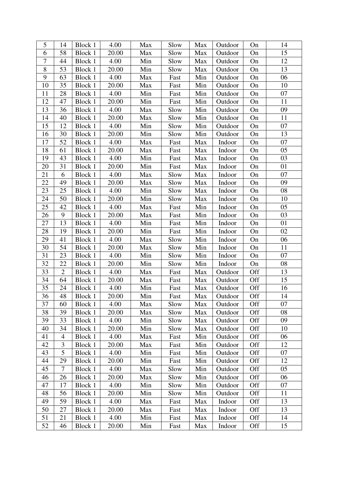| 5      | 14             | Block 1        | 4.00  | Max | Slow | Max | Outdoor | On  | 14 |
|--------|----------------|----------------|-------|-----|------|-----|---------|-----|----|
| 6      | 58             | Block 1        | 20.00 | Max | Slow | Max | Outdoor | On  | 15 |
| $\tau$ | 44             | Block 1        | 4.00  | Min | Slow | Max | Outdoor | On  | 12 |
| $8\,$  | 53             | Block 1        | 20.00 | Min | Slow | Max | Outdoor | On  | 13 |
| 9      | 63             | Block 1        | 4.00  | Max | Fast | Min | Outdoor | On  | 06 |
| 10     | 35             | Block 1        | 20.00 | Max | Fast | Min | Outdoor | On  | 10 |
| 11     | 28             | Block 1        | 4.00  | Min | Fast | Min | Outdoor | On  | 07 |
| 12     | 47             | Block 1        | 20.00 | Min | Fast | Min | Outdoor | On  | 11 |
| 13     | 36             | Block 1        | 4.00  | Max | Slow | Min | Outdoor | On  | 09 |
| 14     | 40             | Block 1        | 20.00 | Max | Slow | Min | Outdoor | On  | 11 |
| 15     | 12             | Block 1        | 4.00  | Min | Slow | Min | Outdoor | On  | 07 |
| 16     | 30             | Block 1        | 20.00 | Min | Slow | Min | Outdoor | On  | 13 |
| 17     | 52             | Block 1        | 4.00  | Max | Fast | Max | Indoor  | On  | 07 |
| 18     | 61             | Block 1        | 20.00 | Max | Fast | Max | Indoor  | On  | 05 |
| 19     | 43             | Block 1        | 4.00  | Min | Fast | Max | Indoor  | On  | 03 |
| 20     | 31             | Block 1        | 20.00 | Min | Fast | Max | Indoor  | On  | 01 |
| 21     | 6              | Block 1        | 4.00  | Max | Slow | Max | Indoor  | On  | 07 |
| 22     | 49             | Block 1        | 20.00 | Max | Slow | Max | Indoor  | On  | 09 |
| 23     | 25             | Block 1        | 4.00  | Min | Slow | Max | Indoor  | On  | 08 |
| 24     | 50             | Block 1        | 20.00 | Min | Slow | Max | Indoor  | On  | 10 |
| 25     | 42             | Block 1        | 4.00  | Max | Fast | Min | Indoor  | On  | 05 |
| 26     | 9              | Block 1        | 20.00 | Max | Fast | Min | Indoor  | On  | 03 |
| 27     | 13             | Block 1        | 4.00  | Min | Fast | Min | Indoor  | On  | 01 |
| 28     | 19             | Block 1        | 20.00 | Min | Fast | Min | Indoor  | On  | 02 |
| 29     | 41             | Block 1        | 4.00  | Max | Slow | Min | Indoor  | On  | 06 |
| 30     | 54             | Block 1        | 20.00 | Max | Slow | Min | Indoor  | On  | 11 |
| 31     | 23             | Block 1        | 4.00  | Min | Slow | Min | Indoor  | On  | 07 |
| 32     | 22             | Block 1        | 20.00 | Min | Slow | Min | Indoor  | On  | 08 |
| 33     | $\overline{2}$ | Block 1        | 4.00  | Max | Fast | Max | Outdoor | Off | 13 |
| 34     | 64             | Block 1        | 20.00 | Max | Fast | Max | Outdoor | Off | 15 |
| 35     | 24             | Block 1        | 4.00  | Min | Fast | Max | Outdoor | Off | 16 |
| 36     | 48             | <b>Block 1</b> | 20.00 | Min | Fast | Max | Outdoor | Off | 14 |
| 37     | 60             | Block 1        | 4.00  | Max | Slow | Max | Outdoor | Off | 07 |
| 38     | 39             | Block 1        | 20.00 | Max | Slow | Max | Outdoor | Off | 08 |
| 39     | 33             | Block 1        | 4.00  | Min | Slow | Max | Outdoor | Off | 09 |
| 40     | 34             | Block 1        | 20.00 | Min | Slow | Max | Outdoor | Off | 10 |
| 41     | $\overline{4}$ | <b>Block 1</b> | 4.00  | Max | Fast | Min | Outdoor | Off | 06 |
| 42     | 3              | Block 1        | 20.00 | Max | Fast | Min | Outdoor | Off | 12 |
| 43     | 5              | Block 1        | 4.00  | Min | Fast | Min | Outdoor | Off | 07 |
| 44     | 29             | Block 1        | 20.00 | Min | Fast | Min | Outdoor | Off | 12 |
| 45     | $\overline{7}$ | Block 1        | 4.00  | Max | Slow | Min | Outdoor | Off | 05 |
| 46     | 26             | Block 1        | 20.00 | Max | Slow | Min | Outdoor | Off | 06 |
| 47     | 17             | Block 1        | 4.00  | Min | Slow | Min | Outdoor | Off | 07 |
| 48     | 56             | Block 1        | 20.00 | Min | Slow | Min | Outdoor | Off | 11 |
| 49     | 59             | Block 1        | 4.00  | Max | Fast | Max | Indoor  | Off | 13 |
| 50     | 27             | Block 1        | 20.00 | Max | Fast | Max | Indoor  | Off | 13 |
| 51     | 21             | Block 1        | 4.00  | Min | Fast | Max | Indoor  | Off | 14 |
| 52     | 46             | Block 1        | 20.00 | Min | Fast | Max | Indoor  | Off | 15 |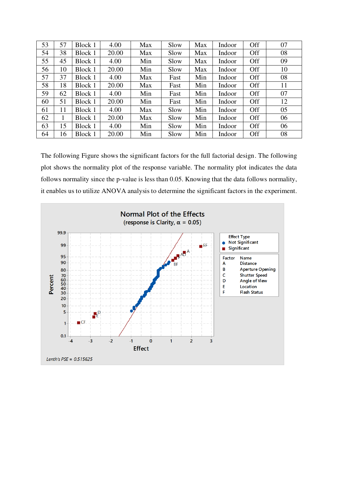| 53 | 57 | Block 1 | 4.00  | Max | Slow | Max | Indoor | Off | 07 |
|----|----|---------|-------|-----|------|-----|--------|-----|----|
| 54 | 38 | Block 1 | 20.00 | Max | Slow | Max | Indoor | Off | 08 |
| 55 | 45 | Block 1 | 4.00  | Min | Slow | Max | Indoor | Off | 09 |
| 56 | 10 | Block 1 | 20.00 | Min | Slow | Max | Indoor | Off | 10 |
| 57 | 37 | Block 1 | 4.00  | Max | Fast | Min | Indoor | Off | 08 |
| 58 | 18 | Block 1 | 20.00 | Max | Fast | Min | Indoor | Off | 11 |
| 59 | 62 | Block 1 | 4.00  | Min | Fast | Min | Indoor | Off | 07 |
| 60 | 51 | Block 1 | 20.00 | Min | Fast | Min | Indoor | Off | 12 |
| 61 | 11 | Block 1 | 4.00  | Max | Slow | Min | Indoor | Off | 05 |
| 62 | 1  | Block 1 | 20.00 | Max | Slow | Min | Indoor | Off | 06 |
| 63 | 15 | Block 1 | 4.00  | Min | Slow | Min | Indoor | Off | 06 |
| 64 | 16 | Block 1 | 20.00 | Min | Slow | Min | Indoor | Off | 08 |

The following Figure shows the significant factors for the full factorial design. The following plot shows the normality plot of the response variable. The normality plot indicates the data follows normality since the p-value is less than 0.05. Knowing that the data follows normality, it enables us to utilize ANOVA analysis to determine the significant factors in the experiment.

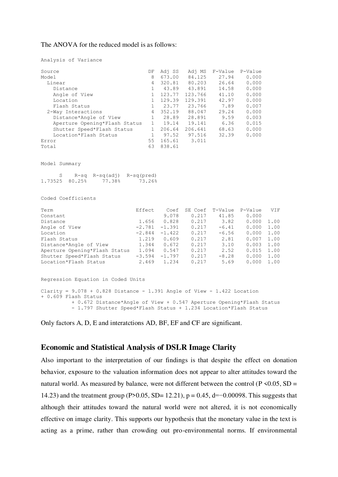#### The ANOVA for the reduced model is as follows:

| Analysis of Variance |  |
|----------------------|--|
|----------------------|--|

| Source                        | DF           | Adj SS | Adj MS  | F-Value | P-Value |
|-------------------------------|--------------|--------|---------|---------|---------|
| Model                         | 8            | 673.00 | 84.125  | 27.94   | 0.000   |
| Linear                        | 4            | 320.81 | 80.203  | 26.64   | 0.000   |
| Distance                      | 1            | 43.89  | 43.891  | 14.58   | 0.000   |
| Angle of View                 |              | 123.77 | 123.766 | 41.10   | 0.000   |
| Location                      |              | 129.39 | 129.391 | 42.97   | 0.000   |
| Flash Status                  | $\mathbf{1}$ | 23.77  | 23.766  | 7.89    | 0.007   |
| 2-Way Interactions            | 4            | 352.19 | 88.047  | 29.24   | 0.000   |
| Distance*Angle of View        | 1            | 28.89  | 28.891  | 9.59    | 0.003   |
| Aperture Opening*Flash Status | $\mathbf{1}$ | 19.14  | 19.141  | 6.36    | 0.015   |
| Shutter Speed*Flash Status    |              | 206.64 | 206.641 | 68.63   | 0.000   |
| Location*Flash Status         |              | 97.52  | 97.516  | 32.39   | 0.000   |
| Error                         | 55           | 165.61 | 3.011   |         |         |
| Total                         | 63           | 838.61 |         |         |         |
|                               |              |        |         |         |         |

Model Summary

|                |        | $R-sq$ $R-sq$ $(adj)$ $R-sq$ $(pred)$ |
|----------------|--------|---------------------------------------|
| 1.73525 80.25% | 77.38% | 73.26%                                |

Coded Coefficients

| Term                          | Effect   | Coef     | SE Coef | T-Value | P-Value | VIF  |
|-------------------------------|----------|----------|---------|---------|---------|------|
| Constant                      |          | 9.078    | 0.217   | 41.85   | 0.000   |      |
| Distance                      | 1.656    | 0.828    | 0.217   | 3.82    | 0.000   | 1.00 |
| Angle of View                 | $-2.781$ | $-1.391$ | 0.217   | $-6.41$ | 0.000   | 1.00 |
| Location                      | $-2.844$ | $-1.422$ | 0.217   | $-6.56$ | 0.000   | 1.00 |
| Flash Status                  | 1.219    | 0.609    | 0.217   | 2.81    | 0.007   | 1.00 |
| Distance*Angle of View        | 1.344    | 0.672    | 0.217   | 3.10    | 0.003   | 1.00 |
| Aperture Opening*Flash Status | 1.094    | 0.547    | 0.217   | 2.52    | 0.015   | 1.00 |
| Shutter Speed*Flash Status    | $-3.594$ | $-1.797$ | 0.217   | $-8.28$ | 0.000   | 1.00 |
| Location*Flash Status         | 2.469    | 1.234    | 0.217   | 5.69    | 0.000   | 1.00 |

```
Regression Equation in Coded Units 
Clarity = 9.078 + 0.828 Distance - 1.391 Angle of View - 1.422 Location
+ 0.609 Flash Status 
           + 0.672 Distance*Angle of View + 0.547 Aperture Opening*Flash Status 
           - 1.797 Shutter Speed*Flash Status + 1.234 Location*Flash Status
```
Only factors A, D, E and interatctions AD, BF, EF and CF are significant.

#### **Economic and Statistical Analysis of DSLR Image Clarity**

Also important to the interpretation of our findings is that despite the effect on donation behavior, exposure to the valuation information does not appear to alter attitudes toward the natural world. As measured by balance, were not different between the control ( $P \le 0.05$ , SD = 14.23) and the treatment group (P>0.05, SD= 12.21), p = 0.45, d=−0.00098. This suggests that although their attitudes toward the natural world were not altered, it is not economically effective on image clarity. This supports our hypothesis that the monetary value in the text is acting as a prime, rather than crowding out pro-environmental norms. If environmental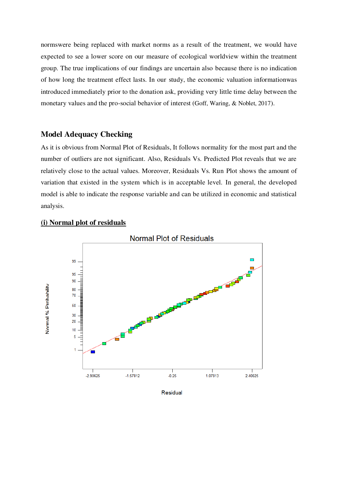normswere being replaced with market norms as a result of the treatment, we would have expected to see a lower score on our measure of ecological worldview within the treatment group. The true implications of our findings are uncertain also because there is no indication of how long the treatment effect lasts. In our study, the economic valuation informationwas introduced immediately prior to the donation ask, providing very little time delay between the monetary values and the pro-social behavior of interest (Goff, Waring, & Noblet, 2017).

#### **Model Adequacy Checking**

As it is obvious from Normal Plot of Residuals, It follows normality for the most part and the number of outliers are not significant. Also, Residuals Vs. Predicted Plot reveals that we are relatively close to the actual values. Moreover, Residuals Vs. Run Plot shows the amount of variation that existed in the system which is in acceptable level. In general, the developed model is able to indicate the response variable and can be utilized in economic and statistical analysis.



#### **(i) Normal plot of residuals**

Residual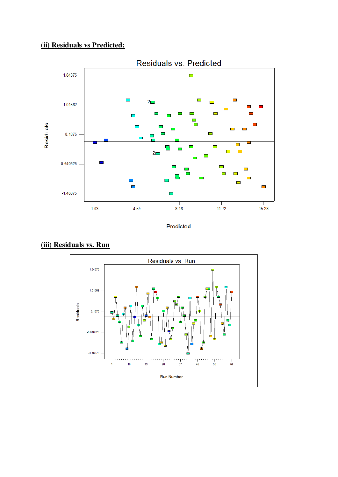# **(ii) Residuals vs Predicted:**



Predicted



### **(iii) Residuals vs. Run**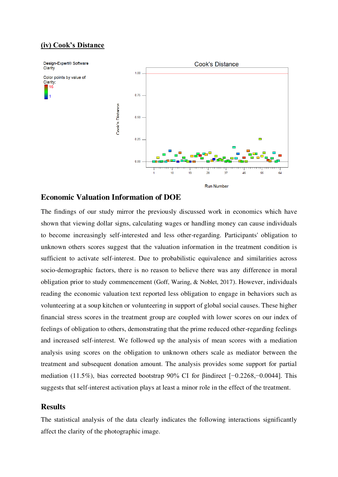#### **(iv) Cook's Distance**



#### **Economic Valuation Information of DOE**

The findings of our study mirror the previously discussed work in economics which have shown that viewing dollar signs, calculating wages or handling money can cause individuals to become increasingly self-interested and less other-regarding. Participants' obligation to unknown others scores suggest that the valuation information in the treatment condition is sufficient to activate self-interest. Due to probabilistic equivalence and similarities across socio-demographic factors, there is no reason to believe there was any difference in moral obligation prior to study commencement (Goff, Waring, & Noblet, 2017). However, individuals reading the economic valuation text reported less obligation to engage in behaviors such as volunteering at a soup kitchen or volunteering in support of global social causes. These higher financial stress scores in the treatment group are coupled with lower scores on our index of feelings of obligation to others, demonstrating that the prime reduced other-regarding feelings and increased self-interest. We followed up the analysis of mean scores with a mediation analysis using scores on the obligation to unknown others scale as mediator between the treatment and subsequent donation amount. The analysis provides some support for partial mediation (11.5%), bias corrected bootstrap 90% CI for βindirect [−0.2268,−0.0044]. This suggests that self-interest activation plays at least a minor role in the effect of the treatment.

#### **Results**

The statistical analysis of the data clearly indicates the following interactions significantly affect the clarity of the photographic image.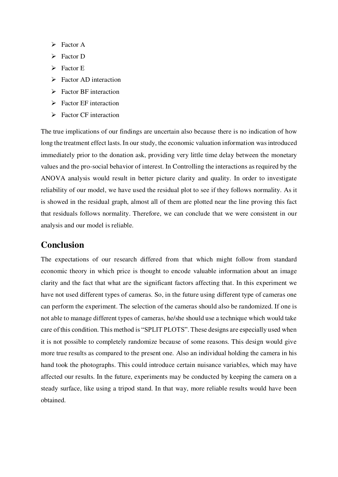- $\triangleright$  Factor A
- $\triangleright$  Factor D
- $\triangleright$  Factor E
- $\triangleright$  Factor AD interaction
- $\triangleright$  Factor BF interaction
- $\triangleright$  Factor EF interaction
- $\triangleright$  Factor CF interaction

The true implications of our findings are uncertain also because there is no indication of how long the treatment effect lasts. In our study, the economic valuation information was introduced immediately prior to the donation ask, providing very little time delay between the monetary values and the pro-social behavior of interest. In Controlling the interactions as required by the ANOVA analysis would result in better picture clarity and quality. In order to investigate reliability of our model, we have used the residual plot to see if they follows normality. As it is showed in the residual graph, almost all of them are plotted near the line proving this fact that residuals follows normality. Therefore, we can conclude that we were consistent in our analysis and our model is reliable.

## **Conclusion**

The expectations of our research differed from that which might follow from standard economic theory in which price is thought to encode valuable information about an image clarity and the fact that what are the significant factors affecting that. In this experiment we have not used different types of cameras. So, in the future using different type of cameras one can perform the experiment. The selection of the cameras should also be randomized. If one is not able to manage different types of cameras, he/she should use a technique which would take care of this condition. This method is "SPLIT PLOTS". These designs are especially used when it is not possible to completely randomize because of some reasons. This design would give more true results as compared to the present one. Also an individual holding the camera in his hand took the photographs. This could introduce certain nuisance variables, which may have affected our results. In the future, experiments may be conducted by keeping the camera on a steady surface, like using a tripod stand. In that way, more reliable results would have been obtained.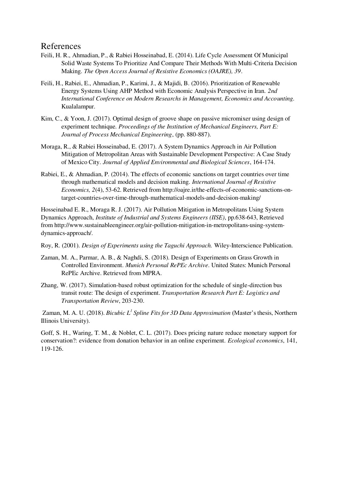### References

- Feili, H. R., Ahmadian, P., & Rabiei Hosseinabad, E. (2014). Life Cycle Assessment Of Municipal Solid Waste Systems To Prioritize And Compare Their Methods With Multi-Criteria Decision Making. *The Open Access Journal of Resistive Economics (OAJRE), 39*.
- Feili, H., Rabiei, E., Ahmadian, P., Karimi, J., & Majidi, B. (2016). Prioritization of Renewable Energy Systems Using AHP Method with Economic Analysis Perspective in Iran. *2nd International Conference on Modern Researchs in Management, Economics and Accounting.* Kualalampur.
- Kim, C., & Yoon, J. (2017). Optimal design of groove shape on passive micromixer using design of experiment technique. *Proceedings of the Institution of Mechanical Engineers, Part E: Journal of Process Mechanical Engineering*, (pp. 880-887).
- Moraga, R., & Rabiei Hosseinabad, E. (2017). A System Dynamics Approach in Air Pollution Mitigation of Metropolitan Areas with Sustainable Development Perspective: A Case Study of Mexico City. *Journal of Applied Environmental and Biological Sciences*, 164-174.
- Rabiei, E., & Ahmadian, P. (2014). The effects of economic sanctions on target countries over time through mathematical models and decision making. *International Journal of Resistive Economics, 2*(4), 53-62. Retrieved from http://oajre.ir/the-effects-of-economic-sanctions-ontarget-countries-over-time-through-mathematical-models-and-decision-making/

Hosseinabad E. R., Moraga R. J. (2017). Air Pollution Mitigation in Metropolitans Using System Dynamics Approach, *Institute of Industrial and Systems Engineers (IISE)*, pp.638-643, Retrieved from http://www.sustainableengineer.org/air-pollution-mitigation-in-metropolitans-using-systemdynamics-approach/.

Roy, R. (2001). *Design of Experiments using the Taguchi Approach.* Wiley-Interscience Publication.

- Zaman, M. A., Parmar, A. B., & Naghdi, S. (2018). Design of Experiments on Grass Growth in Controlled Environment. *Munich Personal RePEc Archive*. United States: Munich Personal RePEc Archive. Retrieved from MPRA.
- Zhang, W. (2017). Simulation-based robust optimization for the schedule of single-direction bus transit route: The design of experiment. *Transportation Research Part E: Logistics and Transportation Review*, 203-230.

Zaman, M. A. U. (2018). *Bicubic L<sup>1</sup> Spline Fits for 3D Data Approximation* (Master's thesis, Northern Illinois University).

Goff, S. H., Waring, T. M., & Noblet, C. L. (2017). Does pricing nature reduce monetary support for conservation?: evidence from donation behavior in an online experiment. *Ecological economics*, 141, 119-126.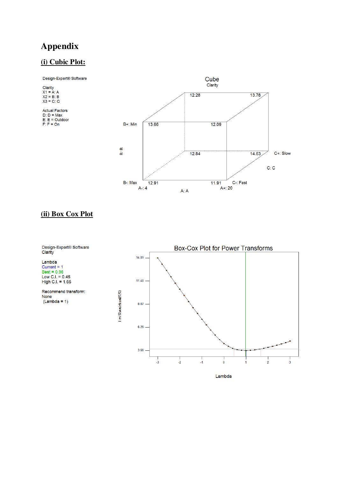# **Appendix**

# **(i) Cubic Plot:**



### **(ii) Box Cox Plot**



Lambda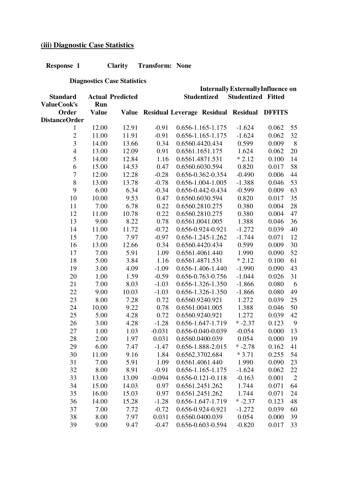# **(iii) Diagnostic Case Statistics**

**Response 1 Clarity Transform: None**

 **Diagnostics Case Statistics**

|                          |              | <b>Internally Externally Influence on</b> |          |  |                         |                                                  |       |                |
|--------------------------|--------------|-------------------------------------------|----------|--|-------------------------|--------------------------------------------------|-------|----------------|
| <b>Standard</b>          |              | <b>Actual Predicted</b>                   |          |  | <b>Studentized</b>      | <b>Studentized Fitted</b>                        |       |                |
| ValueCook's              | Run          |                                           |          |  |                         |                                                  |       |                |
| Order                    | <b>Value</b> |                                           |          |  |                         | Value Residual Leverage Residual Residual DFFITS |       |                |
| <b>DistanceOrder</b>     |              |                                           |          |  |                         |                                                  |       |                |
| $\mathbf{1}$             | 12.00        | 12.91                                     | $-0.91$  |  | 0.656-1.165-1.175       | $-1.624$                                         | 0.062 | 55             |
| $\overline{c}$           | 11.00        | 11.91                                     | $-0.91$  |  | $0.656 - 1.165 - 1.175$ | $-1.624$                                         | 0.062 | 32             |
| $\overline{3}$           | 14.00        | 13.66                                     | 0.34     |  | 0.6560.4420.434         | 0.599                                            | 0.009 | $8\,$          |
| $\overline{\mathcal{L}}$ | 13.00        | 12.09                                     | 0.91     |  | 0.6561.1651.175         | 1.624                                            | 0.062 | 20             |
| 5                        | 14.00        | 12.84                                     | 1.16     |  | 0.6561.4871.531         | $*2.12$                                          | 0.100 | 14             |
| 6                        | 15.00        | 14.53                                     | 0.47     |  | 0.6560.6030.594         | 0.820                                            | 0.017 | 58             |
| $\boldsymbol{7}$         | 12.00        | 12.28                                     | $-0.28$  |  | 0.656-0.362-0.354       | $-0.490$                                         | 0.006 | 44             |
| $8\,$                    | 13.00        | 13.78                                     | $-0.78$  |  | 0.656-1.004-1.005       | $-1.388$                                         | 0.046 | 53             |
| 9                        | 6.00         | 6.34                                      | $-0.34$  |  | 0.656-0.442-0.434       | $-0.599$                                         | 0.009 | 63             |
| 10                       | 10.00        | 9.53                                      | 0.47     |  | 0.6560.6030.594         | 0.820                                            | 0.017 | 35             |
| 11                       | 7.00         | 6.78                                      | 0.22     |  | 0.6560.2810.275         | 0.380                                            | 0.004 | 28             |
| 12                       | 11.00        | 10.78                                     | 0.22     |  | 0.6560.2810.275         | 0.380                                            | 0.004 | 47             |
| 13                       | 9.00         | 8.22                                      | 0.78     |  | 0.6561.0041.005         | 1.388                                            | 0.046 | 36             |
| 14                       | 11.00        | 11.72                                     | $-0.72$  |  | 0.656-0.924-0.921       | $-1.272$                                         | 0.039 | 40             |
| 15                       | 7.00         | 7.97                                      | $-0.97$  |  | 0.656-1.245-1.262       | $-1.744$                                         | 0.071 | 12             |
| 16                       | 13.00        | 12.66                                     | 0.34     |  | 0.6560.4420.434         | 0.599                                            | 0.009 | 30             |
| 17                       | 7.00         | 5.91                                      | 1.09     |  | 0.6561.4061.440         | 1.990                                            | 0.090 | 52             |
| 18                       | 5.00         | 3.84                                      | 1.16     |  | 0.6561.4871.531         | $*2.12$                                          | 0.100 | 61             |
| 19                       | 3.00         | 4.09                                      | $-1.09$  |  | 0.656-1.406-1.440       | $-1.990$                                         | 0.090 | 43             |
| 20                       | 1.00         | 1.59                                      | $-0.59$  |  | 0.656-0.763-0.756       | $-1.044$                                         | 0.026 | 31             |
| 21                       | 7.00         | 8.03                                      | $-1.03$  |  | 0.656-1.326-1.350       | $-1.866$                                         | 0.080 | 6              |
| 22                       | 9.00         | 10.03                                     | $-1.03$  |  | 0.656-1.326-1.350       | $-1.866$                                         | 0.080 | 49             |
| 23                       | 8.00         | 7.28                                      | 0.72     |  | 0.6560.9240.921         | 1.272                                            | 0.039 | 25             |
| 24                       | 10.00        | 9.22                                      | 0.78     |  | 0.6561.0041.005         | 1.388                                            | 0.046 | 50             |
| 25                       | 5.00         | 4.28                                      | 0.72     |  | 0.6560.9240.921         | 1.272                                            | 0.039 | 42             |
| 26                       | 3.00         | 4.28                                      | $-1.28$  |  | 0.656-1.647-1.719       | $* -2.37$                                        | 0.123 | 9              |
| 27                       | 1.00         | 1.03                                      | $-0.031$ |  | 0.656-0.040-0.039       | $-0.054$                                         | 0.000 | 13             |
| 28                       | 2.00         | 1.97                                      | 0.031    |  | 0.6560.0400.039         | 0.054                                            | 0.000 | 19             |
| 29                       | 6.00         | 7.47                                      | $-1.47$  |  | 0.656-1.888-2.015       | $* -2.78$                                        | 0.162 | 41             |
| 30                       | 11.00        | 9.16                                      | 1.84     |  | 0.6562.3702.684         | $*3.71$                                          | 0.255 | 54             |
| 31                       | 7.00         | 5.91                                      | 1.09     |  | 0.6561.4061.440         | 1.990                                            | 0.090 | 23             |
| 32                       | 8.00         | 8.91                                      | $-0.91$  |  | 0.656-1.165-1.175       | $-1.624$                                         | 0.062 | 22             |
| 33                       | 13.00        | 13.09                                     | $-0.094$ |  | $0.656 - 0.121 - 0.118$ | $-0.163$                                         | 0.001 | $\overline{2}$ |
| 34                       | 15.00        | 14.03                                     | 0.97     |  | 0.6561.2451.262         | 1.744                                            | 0.071 | 64             |
| 35                       | 16.00        | 15.03                                     | 0.97     |  | 0.6561.2451.262         | 1.744                                            | 0.071 | 24             |
| 36                       | 14.00        | 15.28                                     | $-1.28$  |  | 0.656-1.647-1.719       | $* -2.37$                                        | 0.123 | 48             |
| 37                       | 7.00         | 7.72                                      | $-0.72$  |  | 0.656-0.924-0.921       | $-1.272$                                         | 0.039 | 60             |
| 38                       | 8.00         | 7.97                                      | 0.031    |  | 0.6560.0400.039         | 0.054                                            | 0.000 | 39             |
| 39                       | 9.00         | 9.47                                      | $-0.47$  |  | 0.656-0.603-0.594       | $-0.820$                                         | 0.017 | 33             |